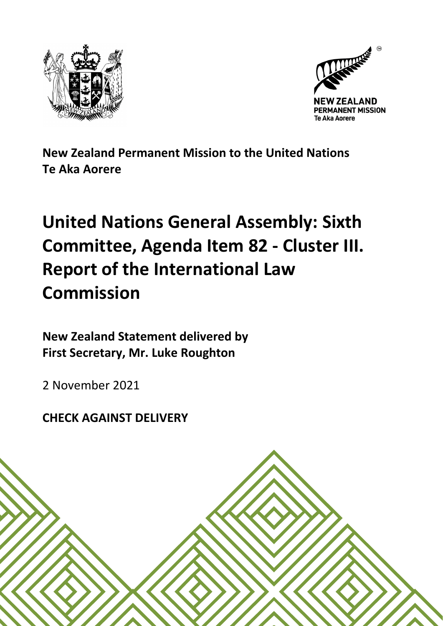



**New Zealand Permanent Mission to the United Nations Te Aka Aorere**

## **United Nations General Assembly: Sixth Committee, Agenda Item 82 - Cluster III. Report of the International Law Commission**

**New Zealand Statement delivered by First Secretary, Mr. Luke Roughton**

2 November 2021

**CHECK AGAINST DELIVERY**

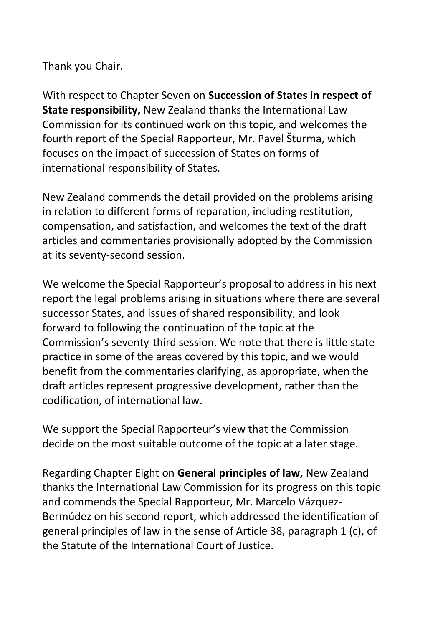Thank you Chair.

With respect to Chapter Seven on **Succession of States in respect of State responsibility,** New Zealand thanks the International Law Commission for its continued work on this topic, and welcomes the fourth report of the Special Rapporteur, Mr. Pavel Šturma, which focuses on the impact of succession of States on forms of international responsibility of States.

New Zealand commends the detail provided on the problems arising in relation to different forms of reparation, including restitution, compensation, and satisfaction, and welcomes the text of the draft articles and commentaries provisionally adopted by the Commission at its seventy-second session.

We welcome the Special Rapporteur's proposal to address in his next report the legal problems arising in situations where there are several successor States, and issues of shared responsibility, and look forward to following the continuation of the topic at the Commission's seventy-third session. We note that there is little state practice in some of the areas covered by this topic, and we would benefit from the commentaries clarifying, as appropriate, when the draft articles represent progressive development, rather than the codification, of international law.

We support the Special Rapporteur's view that the Commission decide on the most suitable outcome of the topic at a later stage.

Regarding Chapter Eight on **General principles of law,** New Zealand thanks the International Law Commission for its progress on this topic and commends the Special Rapporteur, Mr. Marcelo Vázquez-Bermúdez on his second report, which addressed the identification of general principles of law in the sense of Article 38, paragraph 1 (c), of the Statute of the International Court of Justice.